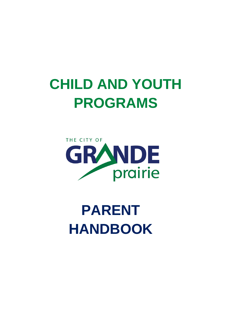# **CHILD AND YOUTH PROGRAMS**



# **PARENT HANDBOOK**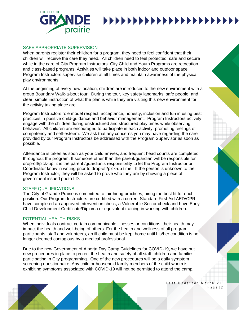

## SAFE APPROPRIATE SUPERVISION

When parents register their children for a program, they need to feel confident that their children will receive the care they need. All children need to feel protected, safe and secure while in the care of City Program Instructors. City Child and Youth Programs are recreation and class-based programs. Activities will take place in both indoor and outdoor space. Program Instructors supervise children at all times and maintain awareness of the physical play environments.

At the beginning of every new location, children are introduced to the new environment with a group Boundary Walk-a-bout tour. During the tour, key safety landmarks, safe people, and clear, simple instruction of what the plan is while they are visiting this new environment for the activity taking place are.

Program Instructors role model respect, acceptance, honesty, inclusion and fun in using best practices in positive child-guidance and behavior management. Program Instructors actively engage with the children during unstructured and structured play times while observing behavior. All children are encouraged to participate in each activity, promoting feelings of competency and self-esteem. We ask that any concerns you may have regarding the care provided by our Program Instructors be addressed with the Program Supervisor as soon as possible.

Attendance is taken as soon as your child arrives, and frequent head counts are completed throughout the program. If someone other than the parent/guardian will be responsible for drop-off/pick-up, it is the parent /guardian's responsibility to let the Program Instructor or Coordinator know in writing prior to drop-off/pick-up time. If the person is unknown to the Program Instructor, they will be asked to prove who they are by showing a piece of government issued photo I.D.

## STAFF QUALIFICATIONS

The City of Grande Prairie is committed to fair hiring practices; hiring the best fit for each position. Our Program Instructors are certified with a current Standard First Aid AED/CPR, have completed an approved Intervention check, a Vulnerable Sector check and have Early Child Development Certificate/Diploma or equivalent training in working with children.

## POTENTIAL HEALTH RISKS

When individuals contract certain communicable illnesses or conditions, their health may impact the health and well-being of others. For the health and wellness of all program participants, staff and volunteers, an ill child must be kept home until his/her condition is no longer deemed contagious by a medical professional.

Due to the new Government of Alberta Day Camp Guidelines for COVID-19, we have put new procedures in place to protect the health and safety of all staff, children and families participating in City programming. One of the new procedures will be a daily symptom screening questionnaire. Any child or household family members of the child whom is exhibiting symptoms associated with COVID-19 will not be permitted to attend the camp.

Last Updated: March 21

P a g e | 2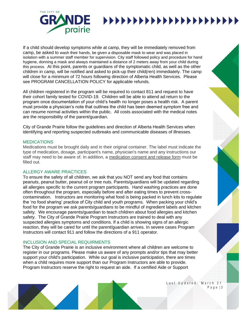

If a child should develop symptoms while at camp, they will be immediately removed from camp, be asked to wash their hands, be given a disposable mask to wear and was placed in isolation with a summer staff member for supervision. City staff followed policy and procedure for hand hygiene, donning a mask and always maintained a distance of 2 meters away from your child during this process. At this point, parents or guardians of the symptomatic child, as well as the other children in camp, will be notified and asked to pick-up their child(ren) immediately. The camp will close for a minimum of 72 hours following direction of Alberta Health Services. Please see PROGRAM CANCELLATION POLICY for applicable refunds.

All children registered in the program will be required to contact 811 and request to have their cohort family tested for COVID-19. Children will be able to attend ad return to the program once documentation of your child's health no longer poses a health risk. A parent must provide a physician's note that outlines the child has been deemed symptom free and can resume normal activities within the public. All costs associated with the medical notes are the responsibility of the parent/guardian.

City of Grande Prairie follow the guidelines and direction of Alberta Health Services when identifying and reporting suspected outbreaks and communicable diseases of illnesses.

## **MEDICATIONS**

Medications must be brought daily and in their original container. The label must indicate the type of medication, dosage, participant's name, physician's name and any instructions our staff may need to be aware of. In addition, a medication consent and release form must be filled out.

## ALLERGY AWARE PRACTICES

To ensure the safety of all children, we ask that you NOT send any food that contains peanuts, peanut butter, peanut oil or tree nuts. Parents/guardians will be updated regarding all allergies specific to the current program participants. Hand washing practices are done often throughout the program, especially before and after eating times to prevent crosscontamination. Instructors are monitoring what food is being packed in lunch kits to regulate the 'no food sharing' practice of City child and youth programs. When packing your child's food for the program we ask parents/guardians to be mindful of ingredient labels and kitchen safety. We encourage parents/guardian to teach children about food allergies and kitchen safety. The City of Grande Prairie Program Instructors are trained to deal with any suspected allergies symptoms and conditions. If a child is showing signs of an allergic reaction, they will be cared for until the parent/guardian arrives. In severe cases Program Instructors will contact 911 and follow the directions of a 911 operator.

# INCLUSION AND SPECIAL REQUIRMENTS

The City of Grande Prairie is an inclusive environment where all children are welcome to register in our programs. Please make us aware of any prompts and/or tips that may better support your child's participation. While our goal is inclusive participation, there are times when a child requires more support than our Program Instructors are able to provide. Program Instructors reserve the right to request an aide. If a certified Aide or Support



Last Updated: March 21 P a g e | 3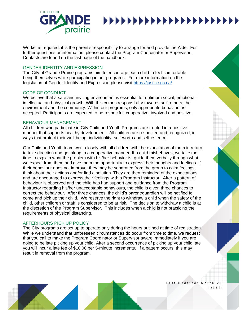

Worker is required, it is the parent's responsibility to arrange for and provide the Aide. For further questions or information, please contact the Program Coordinator or Supervisor. Contacts are found on the last page of the handbook.

## GENDER IDENTITY AND EXPRESSION

The City of Grande Prairie programs aim to encourage each child to feel comfortable being themselves while participating in our programs. For more information on the legislation of Gender Identity and Expression please visit <https://justice.gc.ca/>

## CODE OF CONDUCT

We believe that a safe and inviting environment is essential for optimum social, emotional, intellectual and physical growth. With this comes responsibility towards self, others, the environment and the community. Within our programs, only appropriate behaviour is accepted. Participants are expected to be respectful, cooperative, involved and positive.

## BEHAVIOUR MANAGEMENT

All children who participate in City Child and Youth Programs are treated in a positive manner that supports healthy development. All children are respected and recognized, in ways that protect their well-being, individuality, self-worth and self-esteem.

Our Child and Youth team work closely with all children with the expectation of them in return to take direction and get along in a cooperative manner. If a child misbehaves, we take the time to explain what the problem with his/her behavior is, guide them verbally through what we expect from them and give them the opportunity to express their thoughts and feelings. If their behaviour does not improve, they may be separated from the group to calm feelings, think about their actions and/or find a solution. They are then reminded of the expectations and are encouraged to express their feelings with a Program Instructor. After a pattern of behaviour is observed and the child has had support and guidance from the Program Instructor regarding his/her unacceptable behaviours, the child is given three chances to correct the behaviour. After three chances, the child's parent/guardian will be notified to come and pick up their child. We reserve the right to withdraw a child when the safety of the child, other children or staff is considered to be at risk. The decision to withdraw a child is at the discretion of the Program Supervisor. This includes when a child is not practicing the requirements of physical distancing.

## AFTERHOURS PICK UP POLICY

The City programs are set up to operate only during the hours outlined at time of registration. While we understand that unforeseen circumstances do occur from time to time, we request that you call to make the Program Coordinator or Supervisor aware immediately if you are going to be late picking up your child. After a second occurrence of picking up your child late you will incur a late fee of \$10.00 per 5-minute increments. If a pattern occurs, this may result in removal from the program.

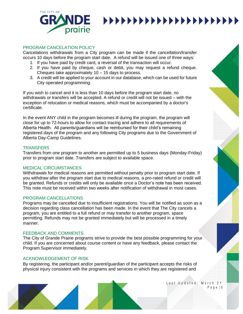

## PROGRAM CANCELATION POLICY

Cancelations withdrawals from a City program can be made if the cancellation/transfer occurs 10 days before the program start date. A refund will be issued one of three ways:

- 1. If you have paid by credit card, a reversal of the transaction will occur.
- 2. If you have paid by cheque, cash or debit, you may request a refund cheque. Cheques take approximately 10 – 15 days to process.
- 3. A credit will be applied to your account in our database, which can be used for future City operated programming.

If you wish to cancel and it is less than 10 days before the program start date, no withdrawals or transfers will be accepted. A refund or credit will not be issued – with the exception of relocation or medical reasons, which must be accompanied by a doctor's certificate.

In the event ANY child in the program becomes ill during the program, the program will close for up to 72-hours to allow for contact tracing and adhere to all requirements of Alberta Health. All parents/guardians will be reimbursed for their child's remaining registered days of the program and any following City programs due to the Government of Alberta Day-Camp Guidelines.

## **TRANSFERS**

Transfers from one program to another are permitted up to 5 business days (Monday-Friday) prior to program start date. Transfers are subject to available space.

# MEDICAL CIRCUMSTANCES

Withdrawals for medical reasons are permitted without penalty prior to program start date. If you withdraw after the program start due to medical reasons, a pro-rated refund or credit will be granted. Refunds or credits will only be available once a Doctor's note has been received. This note must be received within two weeks after notification of withdrawal in most cases.

## PROGRAM CANCELLATIONS

Programs may be cancelled due to insufficient registrations. You will be notified as soon as a decision regarding class cancellation has been made. In the event that The City cancels a program, you are entitled to a full refund or may transfer to another program, space permitting. Refunds may not be granted immediately but will be processed in a timely manner.

## FEEDBACK AND COMMENTS

The City of Grande Prairie programs strive to provide the best possible programming for your child. If you are concerned about course content or have any feedback, please contact the Program Supervisor immediately.

# ACKNOWLEDGEMENT OF RISK

By registering, the participant and/or parent/guardian of the participant accepts the risks of physical injury consistent with the programs and services in which they are registered and



Last Updated: March 21 P a g e | 5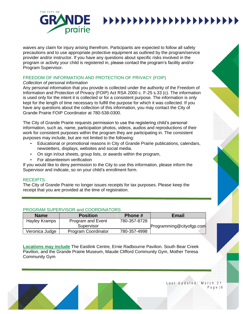

waives any claim for injury arising therefrom. Participants are expected to follow all safety precautions and to use appropriate protective equipment as outlined by the program/service provider and/or instructor. If you have any questions about specific risks involved in the program or activity your child is registered in, please contact the program's facility and/or Program Supervisor.

# FREEDOM OF INFORMATION AND PROTECTION OF PRIVACY (FOIP)

# *Collection of personal information*

Any personal information that you provide is collected under the authority of the Freedom of Information and Protection of Privacy (FOIP) Act RSA 2000 c. F-25 s.33 (c). The information is used only for the intent it is collected or for a consistent purpose. The information is only kept for the length of time necessary to fulfill the purpose for which it was collected. If you have any questions about the collection of this information, you may contact the City of Grande Prairie FOIP Coordinator at 780-538-0300.

The City of Grande Prairie requests permission to use the registering child's personal information, such as, name, participation photos, videos, audios and reproductions of their work for consistent purposes within the program they are participating in. The consistent purposes may include, but are not limited to the following:

- Educational or promotional reasons in City of Grande Prairie publications, calendars, newsletters, displays, websites and social media.
- On sign in/out sheets, group lists, or awards within the program,
- For absenteeism verification

If you would like to deny permission to the City to use this information, please inform the Supervisor and indicate, so on your child's enrollment form.

# **RECEIPTS**

The City of Grande Prairie no longer issues receipts for tax purposes. Please keep the receipt that you are provided at the time of registration.

# PROGRAM SUPERVISOR and COORDINATORS

| <b>Name</b>    | <b>Position</b>          | Phone #      | Email                    |
|----------------|--------------------------|--------------|--------------------------|
| Hayley Kramps  | <b>Program and Event</b> | 780-357-8728 |                          |
|                | Supervisor               |              | Programming@cityofgp.com |
| Veronica Judge | Program Coordinator      | 780-357-4998 |                          |

**Locations may include** The Eastlink Centre, Ernie Radbourne Pavilion. South Bear Creek Pavilion, and the Grande Prairie Museum, Maude Clifford Community Gym, Mother Teresa Community Gym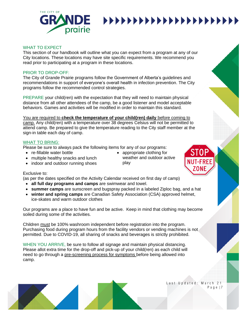

• appropriate clothing for

play

weather and outdoor active

## WHAT TO EXPECT

This section of our handbook will outline what you can expect from a program at any of our City locations. These locations may have site specific requirements. We recommend you read prior to participating at a program in these locations.

## PRIOR TO DROP-OFF:

The City of Grande Prairie programs follow the Government of Alberta's guidelines and recommendations in support of everyone's overall health in infection prevention. The City programs follow the recommended control strategies.

PREPARE your child(ren) with the expectation that they will need to maintain physical distance from all other attendees of the camp, be a good listener and model acceptable behaviors. Games and activities will be modified in order to maintain this standard.

You are required to **check the temperature of your child(ren) daily** before coming to camp. Any child(ren) with a temperature over 38 degrees Celsius will not be permitted to attend camp. Be prepared to give the temperature reading to the City staff member at the sign-in table each day of camp.

## WHAT TO BRING:

Please be sure to always pack the following items for any of our programs:

- re-fillable water bottle
- multiple healthy snacks and lunch
- indoor and outdoor running shoes

# Exclusive to:

(as per the dates specified on the Activity Calendar received on first day of camp)

- **all full day programs and camps** are swimwear and towel.
- **summer camps** are sunscreen and bugspray packed in a labeled Ziploc bag, and a hat
- **winter and spring camps** are Canadian Safety Association (CSA) approved helmet, ice-skates and warm outdoor clothes

Our programs are a place to have fun and be active. Keep in mind that clothing may become soiled during some of the activities.

Children must be 100% washroom independent before registration into the program. Purchasing food during program hours from the facility vendors or vending machines is not permitted. Due to COVID-19, all sharing of snacks and beverages is strictly prohibited.

WHEN YOU ARRIVE, be sure to follow all signage and maintain physical distancing. Please allot extra time for the drop-off and pick-up of your child(ren) as each child will need to go through a pre-screening process for symptoms before being allowed into camp.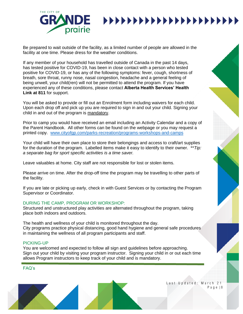

Be prepared to wait outside of the facility, as a limited number of people are allowed in the facility at one time. Please dress for the weather conditions.

If any member of your household has travelled outside of Canada in the past 14 days, has tested positive for COVID-19, has been in close contact with a person who tested positive for COVID-19, or has any of the following symptoms: fever, cough, shortness of breath, sore throat, runny nose, nasal congestion, headache and a general feeling of being unwell, your child(ren) will not be permitted to attend the program. If you have experienced any of these conditions, please contact **Alberta Health Services' Health Link at 811** for support.

You will be asked to provide or fill out an Enrolment form including waivers for each child. Upon each drop off and pick up you are required to sign in and out your child. Signing your child in and out of the program is mandatory.

Prior to camp you would have received an email including an Activity Calendar and a copy of the Parent Handbook. All other forms can be found on the webpage or you may request a printed copy. [www.cityofgp.com/parks-recreation/programs-workshops-and-camps](http://www.cityofgp.com/parks-recreation/programs-workshops-and-camps)

Your child will have their own place to store their belongings and access to craft/art supplies for the duration of the program. Labelled items make it easy to identify to their owner. \*\**Tip: a separate bag for sport specific activities is a time saver.*

Leave valuables at home. City staff are not responsible for lost or stolen items.

Please arrive on time. After the drop-off time the program may be travelling to other parts of the facility.

If you are late or picking up early, check in with Guest Services or by contacting the Program Supervisor or Coordinator.

## DURING THE CAMP, PROGRAM OR WORKSHOP:

Structured and unstructured play activities are alternated throughout the program, taking place both indoors and outdoors.

The health and wellness of your child is monitored throughout the day. City programs practice physical distancing, good hand hygiene and general safe procedures in maintaining the wellness of all program participants and staff.

## PICKING-UP

You are welcomed and expected to follow all sign and guidelines before approaching. Sign out your child by visiting your program instructor. Signing your child in or out each time allows Program instructors to keep track of your child and is mandatory.

# FAQ's